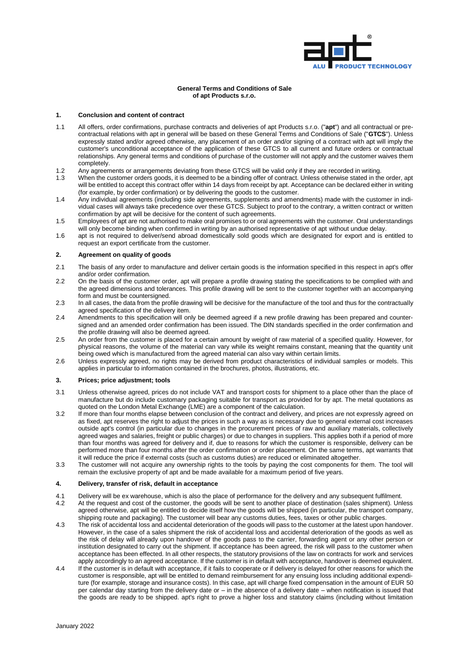

### **General Terms and Conditions of Sale of apt Products s.r.o.**

### **1. Conclusion and content of contract**

- 1.1 All offers, order confirmations, purchase contracts and deliveries of apt Products s.r.o. ("**apt**") and all contractual or precontractual relations with apt in general will be based on these General Terms and Conditions of Sale ("**GTCS**"). Unless expressly stated and/or agreed otherwise, any placement of an order and/or signing of a contract with apt will imply the customer's unconditional acceptance of the application of these GTCS to all current and future orders or contractual relationships. Any general terms and conditions of purchase of the customer will not apply and the customer waives them completely.
- 1.2 Any agreements or arrangements deviating from these GTCS will be valid only if they are recorded in writing.<br>1.3 When the customer orders goods, it is deemed to be a binding offer of contract. Unless otherwise stated i
- When the customer orders goods, it is deemed to be a binding offer of contract. Unless otherwise stated in the order, apt will be entitled to accept this contract offer within 14 days from receipt by apt. Acceptance can be declared either in writing (for example, by order confirmation) or by delivering the goods to the customer.
- 1.4 Any individual agreements (including side agreements, supplements and amendments) made with the customer in individual cases will always take precedence over these GTCS. Subject to proof to the contrary, a written contract or written confirmation by apt will be decisive for the content of such agreements.
- 1.5 Employees of apt are not authorised to make oral promises to or oral agreements with the customer. Oral understandings will only become binding when confirmed in writing by an authorised representative of apt without undue delay.
- 1.6 apt is not required to deliver/send abroad domestically sold goods which are designated for export and is entitled to request an export certificate from the customer.

### <span id="page-0-0"></span>**2. Agreement on quality of goods**

- 2.1 The basis of any order to manufacture and deliver certain goods is the information specified in this respect in apt's offer and/or order confirmation.
- 2.2 On the basis of the customer order, apt will prepare a profile drawing stating the specifications to be complied with and the agreed dimensions and tolerances. This profile drawing will be sent to the customer together with an accompanying form and must be countersigned.
- 2.3 In all cases, the data from the profile drawing will be decisive for the manufacture of the tool and thus for the contractually agreed specification of the delivery item.
- 2.4 Amendments to this specification will only be deemed agreed if a new profile drawing has been prepared and countersigned and an amended order confirmation has been issued. The DIN standards specified in the order confirmation and the profile drawing will also be deemed agreed.
- 2.5 An order from the customer is placed for a certain amount by weight of raw material of a specified quality. However, for physical reasons, the volume of the material can vary while its weight remains constant, meaning that the quantity unit being owed which is manufactured from the agreed material can also vary within certain limits.
- 2.6 Unless expressly agreed, no rights may be derived from product characteristics of individual samples or models. This applies in particular to information contained in the brochures, photos, illustrations, etc.

#### **3. Prices; price adjustment; tools**

- 3.1 Unless otherwise agreed, prices do not include VAT and transport costs for shipment to a place other than the place of manufacture but do include customary packaging suitable for transport as provided for by apt. The metal quotations as quoted on the London Metal Exchange (LME) are a component of the calculation.
- 3.2 If more than four months elapse between conclusion of the contract and delivery, and prices are not expressly agreed on as fixed, apt reserves the right to adjust the prices in such a way as is necessary due to general external cost increases outside apt's control (in particular due to changes in the procurement prices of raw and auxiliary materials, collectively agreed wages and salaries, freight or public charges) or due to changes in suppliers. This applies both if a period of more than four months was agreed for delivery and if, due to reasons for which the customer is responsible, delivery can be performed more than four months after the order confirmation or order placement. On the same terms, apt warrants that it will reduce the price if external costs (such as customs duties) are reduced or eliminated altogether.
- 3.3 The customer will not acquire any ownership rights to the tools by paying the cost components for them. The tool will remain the exclusive property of apt and be made available for a maximum period of five years.

#### **4. Delivery, transfer of risk, default in acceptance**

- 4.1 Delivery will be ex warehouse, which is also the place of performance for the delivery and any subsequent fulfilment.<br>4.2 At the request and cost of the customer, the goods will be sent to another place of destination
- At the request and cost of the customer, the goods will be sent to another place of destination (sales shipment). Unless agreed otherwise, apt will be entitled to decide itself how the goods will be shipped (in particular, the transport company, shipping route and packaging). The customer will bear any customs duties, fees, taxes or other public charges.
- 4.3 The risk of accidental loss and accidental deterioration of the goods will pass to the customer at the latest upon handover. However, in the case of a sales shipment the risk of accidental loss and accidental deterioration of the goods as well as the risk of delay will already upon handover of the goods pass to the carrier, forwarding agent or any other person or institution designated to carry out the shipment. If acceptance has been agreed, the risk will pass to the customer when acceptance has been effected. In all other respects, the statutory provisions of the law on contracts for work and services apply accordingly to an agreed acceptance. If the customer is in default with acceptance, handover is deemed equivalent.
- 4.4 If the customer is in default with acceptance, if it fails to cooperate or if delivery is delayed for other reasons for which the customer is responsible, apt will be entitled to demand reimbursement for any ensuing loss including additional expenditure (for example, storage and insurance costs). In this case, apt will charge fixed compensation in the amount of EUR 50 per calendar day starting from the delivery date or – in the absence of a delivery date – when notification is issued that the goods are ready to be shipped. apt's right to prove a higher loss and statutory claims (including without limitation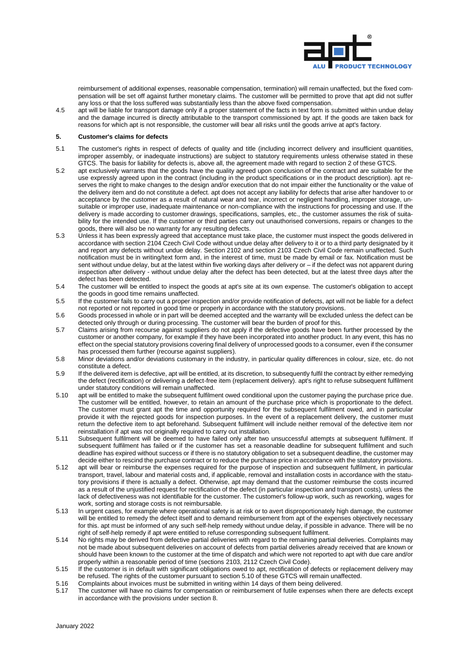

reimbursement of additional expenses, reasonable compensation, termination) will remain unaffected, but the fixed compensation will be set off against further monetary claims. The customer will be permitted to prove that apt did not suffer any loss or that the loss suffered was substantially less than the above fixed compensation.

4.5 apt will be liable for transport damage only if a proper statement of the facts in text form is submitted within undue delay and the damage incurred is directly attributable to the transport commissioned by apt. If the goods are taken back for reasons for which apt is not responsible, the customer will bear all risks until the goods arrive at apt's factory.

#### <span id="page-1-1"></span>**5. Customer's claims for defects**

- 5.1 The customer's rights in respect of defects of quality and title (including incorrect delivery and insufficient quantities, improper assembly, or inadequate instructions) are subject to statutory requirements unless otherwise stated in these GTCS. The basis for liability for defects is, above all, the agreement made with regard to section [2](#page-0-0) of these GTCS.
- 5.2 apt exclusively warrants that the goods have the quality agreed upon conclusion of the contract and are suitable for the use expressly agreed upon in the contract (including in the product specifications or in the product description). apt reserves the right to make changes to the design and/or execution that do not impair either the functionality or the value of the delivery item and do not constitute a defect. apt does not accept any liability for defects that arise after handover to or acceptance by the customer as a result of natural wear and tear, incorrect or negligent handling, improper storage, unsuitable or improper use, inadequate maintenance or non-compliance with the instructions for processing and use. If the delivery is made according to customer drawings, specifications, samples, etc., the customer assumes the risk of suitability for the intended use. If the customer or third parties carry out unauthorised conversions, repairs or changes to the goods, there will also be no warranty for any resulting defects.
- 5.3 Unless it has been expressly agreed that acceptance must take place, the customer must inspect the goods delivered in accordance with section 2104 Czech Civil Code without undue delay after delivery to it or to a third party designated by it and report any defects without undue delay. Section 2102 and section 2103 Czech Civil Code remain unaffected. Such notification must be in writing/text form and, in the interest of time, must be made by email or fax. Notification must be sent without undue delay, but at the latest within five working days after delivery or – if the defect was not apparent during inspection after delivery - without undue delay after the defect has been detected, but at the latest three days after the defect has been detected.
- 5.4 The customer will be entitled to inspect the goods at apt's site at its own expense. The customer's obligation to accept the goods in good time remains unaffected.
- 5.5 If the customer fails to carry out a proper inspection and/or provide notification of defects, apt will not be liable for a defect not reported or not reported in good time or properly in accordance with the statutory provisions.
- 5.6 Goods processed in whole or in part will be deemed accepted and the warranty will be excluded unless the defect can be detected only through or during processing. The customer will bear the burden of proof for this.
- 5.7 Claims arising from recourse against suppliers do not apply if the defective goods have been further processed by the customer or another company, for example if they have been incorporated into another product. In any event, this has no effect on the special statutory provisions covering final delivery of unprocessed goods to a consumer, even if the consumer has processed them further (recourse against suppliers).
- 5.8 Minor deviations and/or deviations customary in the industry, in particular quality differences in colour, size, etc. do not constitute a defect.
- 5.9 If the delivered item is defective, apt will be entitled, at its discretion, to subsequently fulfil the contract by either remedying the defect (rectification) or delivering a defect-free item (replacement delivery). apt's right to refuse subsequent fulfilment under statutory conditions will remain unaffected.
- <span id="page-1-0"></span>5.10 apt will be entitled to make the subsequent fulfilment owed conditional upon the customer paying the purchase price due. The customer will be entitled, however, to retain an amount of the purchase price which is proportionate to the defect. The customer must grant apt the time and opportunity required for the subsequent fulfilment owed, and in particular provide it with the rejected goods for inspection purposes. In the event of a replacement delivery, the customer must return the defective item to apt beforehand. Subsequent fulfilment will include neither removal of the defective item nor reinstallation if apt was not originally required to carry out installation.
- 5.11 Subsequent fulfilment will be deemed to have failed only after two unsuccessful attempts at subsequent fulfilment. If subsequent fulfilment has failed or if the customer has set a reasonable deadline for subsequent fulfilment and such deadline has expired without success or if there is no statutory obligation to set a subsequent deadline, the customer may decide either to rescind the purchase contract or to reduce the purchase price in accordance with the statutory provisions.
- 5.12 apt will bear or reimburse the expenses required for the purpose of inspection and subsequent fulfilment, in particular transport, travel, labour and material costs and, if applicable, removal and installation costs in accordance with the statutory provisions if there is actually a defect. Otherwise, apt may demand that the customer reimburse the costs incurred as a result of the unjustified request for rectification of the defect (in particular inspection and transport costs), unless the lack of defectiveness was not identifiable for the customer. The customer's follow-up work, such as reworking, wages for work, sorting and storage costs is not reimbursable.
- 5.13 In urgent cases, for example where operational safety is at risk or to avert disproportionately high damage, the customer will be entitled to remedy the defect itself and to demand reimbursement from apt of the expenses objectively necessary for this. apt must be informed of any such self-help remedy without undue delay, if possible in advance. There will be no right of self-help remedy if apt were entitled to refuse corresponding subsequent fulfilment.
- 5.14 No rights may be derived from defective partial deliveries with regard to the remaining partial deliveries. Complaints may not be made about subsequent deliveries on account of defects from partial deliveries already received that are known or should have been known to the customer at the time of dispatch and which were not reported to apt with due care and/or properly within a reasonable period of time (sections 2103, 2112 Czech Civil Code).
- 5.15 If the customer is in default with significant obligations owed to apt, rectification of defects or replacement delivery may be refused. The rights of the customer pursuant to sectio[n 5.10](#page-1-0) of these GTCS will remain unaffected.
- 5.16 Complaints about invoices must be submitted in writing within 14 days of them being delivered.<br>5.17 The customer will have no claims for compensation or reimbursement of futile expenses when
- The customer will have no claims for compensation or reimbursement of futile expenses when there are defects except in accordance with the provisions under sectio[n 8.](#page-2-0)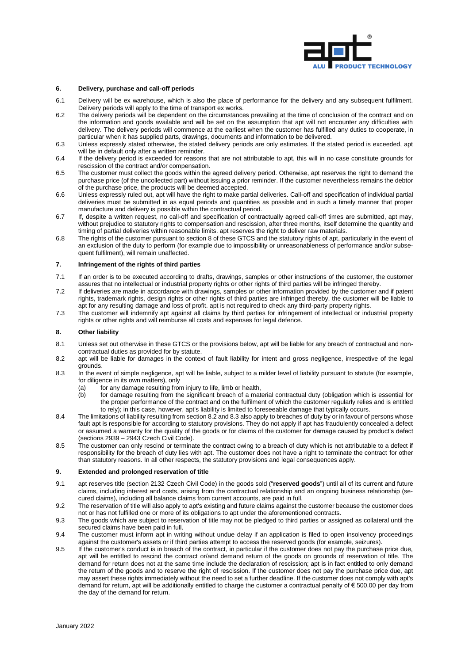

### **6. Delivery, purchase and call-off periods**

- 6.1 Delivery will be ex warehouse, which is also the place of performance for the delivery and any subsequent fulfilment. Delivery periods will apply to the time of transport ex works.
- 6.2 The delivery periods will be dependent on the circumstances prevailing at the time of conclusion of the contract and on the information and goods available and will be set on the assumption that apt will not encounter any difficulties with delivery. The delivery periods will commence at the earliest when the customer has fulfilled any duties to cooperate, in particular when it has supplied parts, drawings, documents and information to be delivered.
- 6.3 Unless expressly stated otherwise, the stated delivery periods are only estimates. If the stated period is exceeded, apt will be in default only after a written reminder.
- 6.4 If the delivery period is exceeded for reasons that are not attributable to apt, this will in no case constitute grounds for rescission of the contract and/or compensation.
- 6.5 The customer must collect the goods within the agreed delivery period. Otherwise, apt reserves the right to demand the purchase price (of the uncollected part) without issuing a prior reminder. If the customer nevertheless remains the debtor of the purchase price, the products will be deemed accepted.
- 6.6 Unless expressly ruled out, apt will have the right to make partial deliveries. Call-off and specification of individual partial deliveries must be submitted in as equal periods and quantities as possible and in such a timely manner that proper manufacture and delivery is possible within the contractual period.
- 6.7 If, despite a written request, no call-off and specification of contractually agreed call-off times are submitted, apt may, without prejudice to statutory rights to compensation and rescission, after three months, itself determine the quantity and timing of partial deliveries within reasonable limits. apt reserves the right to deliver raw materials.
- 6.8 The rights of the customer pursuant to section 8 of these GTCS and the statutory rights of apt, particularly in the event of an exclusion of the duty to perform (for example due to impossibility or unreasonableness of performance and/or subsequent fulfilment), will remain unaffected.

### **7. Infringement of the rights of third parties**

- 7.1 If an order is to be executed according to drafts, drawings, samples or other instructions of the customer, the customer assures that no intellectual or industrial property rights or other rights of third parties will be infringed thereby.
- 7.2 If deliveries are made in accordance with drawings, samples or other information provided by the customer and if patent rights, trademark rights, design rights or other rights of third parties are infringed thereby, the customer will be liable to apt for any resulting damage and loss of profit. apt is not required to check any third-party property rights.
- 7.3 The customer will indemnify apt against all claims by third parties for infringement of intellectual or industrial property rights or other rights and will reimburse all costs and expenses for legal defence.

# <span id="page-2-0"></span>**8. Other liability**

- 8.1 Unless set out otherwise in these GTCS or the provisions below, apt will be liable for any breach of contractual and noncontractual duties as provided for by statute.
- <span id="page-2-1"></span>8.2 apt will be liable for damages in the context of fault liability for intent and gross negligence, irrespective of the legal grounds.
- <span id="page-2-2"></span>8.3 In the event of simple negligence, apt will be liable, subject to a milder level of liability pursuant to statute (for example, for diligence in its own matters), only
	- (a)  $\check{\phantom{\phi}}$  for any damage resulting from injury to life, limb or health,
	- (b) for damage resulting from the significant breach of a material contractual duty (obligation which is essential for the proper performance of the contract and on the fulfilment of which the customer regularly relies and is entitled to rely); in this case, however, apt's liability is limited to foreseeable damage that typically occurs.
- 8.4 The limitations of liability resulting from sectio[n 8.2](#page-2-1) an[d 8.3](#page-2-2) also apply to breaches of duty by or in favour of persons whose fault apt is responsible for according to statutory provisions. They do not apply if apt has fraudulently concealed a defect or assumed a warranty for the quality of the goods or for claims of the customer for damage caused by product's defect (sections 2939 – 2943 Czech Civil Code).
- 8.5 The customer can only rescind or terminate the contract owing to a breach of duty which is not attributable to a defect if responsibility for the breach of duty lies with apt. The customer does not have a right to terminate the contract for other than statutory reasons. In all other respects, the statutory provisions and legal consequences apply.

### **9. Extended and prolonged reservation of title**

- 9.1 apt reserves title (section 2132 Czech Civil Code) in the goods sold ("**reserved goods**") until all of its current and future claims, including interest and costs, arising from the contractual relationship and an ongoing business relationship (secured claims), including all balance claims from current accounts, are paid in full.
- 9.2 The reservation of title will also apply to apt's existing and future claims against the customer because the customer does not or has not fulfilled one or more of its obligations to apt under the aforementioned contracts.
- <span id="page-2-3"></span>9.3 The goods which are subject to reservation of title may not be pledged to third parties or assigned as collateral until the secured claims have been paid in full.
- 9.4 The customer must inform apt in writing without undue delay if an application is filed to open insolvency proceedings against the customer's assets or if third parties attempt to access the reserved goods (for example, seizures).
- <span id="page-2-4"></span>9.5 If the customer's conduct is in breach of the contract, in particular if the customer does not pay the purchase price due, apt will be entitled to rescind the contract or/and demand return of the goods on grounds of reservation of title. The demand for return does not at the same time include the declaration of rescission; apt is in fact entitled to only demand the return of the goods and to reserve the right of rescission. If the customer does not pay the purchase price due, apt may assert these rights immediately without the need to set a further deadline. If the customer does not comply with apt's demand for return, apt will be additionally entitled to charge the customer a contractual penalty of € 500.00 per day from the day of the demand for return.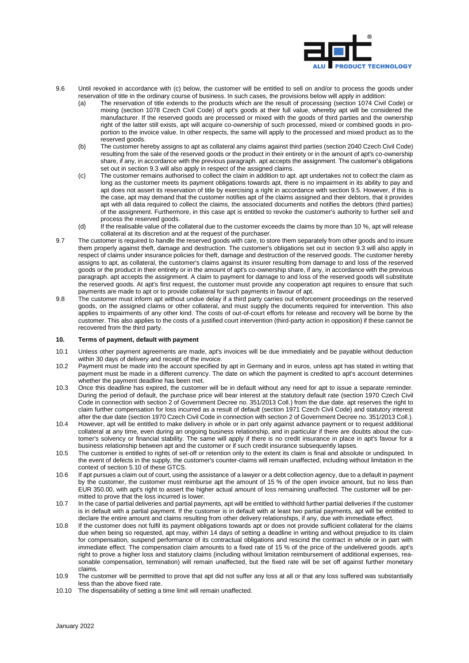

- 9.6 Until revoked in accordance with [\(c\)](#page-3-0) below, the customer will be entitled to sell on and/or to process the goods under reservation of title in the ordinary course of business. In such cases, the provisions below will apply in addition:
	- (a) The reservation of title extends to the products which are the result of processing (section 1074 Civil Code) or mixing (section 1078 Czech Civil Code) of apt's goods at their full value, whereby apt will be considered the manufacturer. If the reserved goods are processed or mixed with the goods of third parties and the ownership right of the latter still exists, apt will acquire co-ownership of such processed, mixed or combined goods in proportion to the invoice value. In other respects, the same will apply to the processed and mixed product as to the reserved goods.
	- (b) The customer hereby assigns to apt as collateral any claims against third parties (section 2040 Czech Civil Code) resulting from the sale of the reserved goods or the product in their entirety or in the amount of apt's co-ownership share, if any, in accordance with the previous paragraph. apt accepts the assignment. The customer's obligations set out in section [9.3](#page-2-3) will also apply in respect of the assigned claims.
	- (c) The customer remains authorised to collect the claim in addition to apt. apt undertakes not to collect the claim as long as the customer meets its payment obligations towards apt, there is no impairment in its ability to pay and apt does not assert its reservation of title by exercising a right in accordance with sectio[n 9.5.](#page-2-4) However, if this is the case, apt may demand that the customer notifies apt of the claims assigned and their debtors, that it provides apt with all data required to collect the claims, the associated documents and notifies the debtors (third parties) of the assignment. Furthermore, in this case apt is entitled to revoke the customer's authority to further sell and process the reserved goods.
	- (d) If the realisable value of the collateral due to the customer exceeds the claims by more than 10 %, apt will release collateral at its discretion and at the request of the purchaser.
- <span id="page-3-0"></span>9.7 The customer is required to handle the reserved goods with care, to store them separately from other goods and to insure them properly against theft, damage and destruction. The customer's obligations set out in section [9.3](#page-2-3) will also apply in respect of claims under insurance policies for theft, damage and destruction of the reserved goods. The customer hereby assigns to apt, as collateral, the customer's claims against its insurer resulting from damage to and loss of the reserved goods or the product in their entirety or in the amount of apt's co-ownership share, if any, in accordance with the previous paragraph. apt accepts the assignment. A claim to payment for damage to and loss of the reserved goods will substitute the reserved goods. At apt's first request, the customer must provide any cooperation apt requires to ensure that such payments are made to apt or to provide collateral for such payments in favour of apt.
- 9.8 The customer must inform apt without undue delay if a third party carries out enforcement proceedings on the reserved goods, on the assigned claims or other collateral, and must supply the documents required for intervention. This also applies to impairments of any other kind. The costs of out-of-court efforts for release and recovery will be borne by the customer. This also applies to the costs of a justified court intervention (third-party action in opposition) if these cannot be recovered from the third party.

# **10. Terms of payment, default with payment**

- 10.1 Unless other payment agreements are made, apt's invoices will be due immediately and be payable without deduction within 30 days of delivery and receipt of the invoice.
- 10.2 Payment must be made into the account specified by apt in Germany and in euros, unless apt has stated in writing that payment must be made in a different currency. The date on which the payment is credited to apt's account determines whether the payment deadline has been met.
- 10.3 Once this deadline has expired, the customer will be in default without any need for apt to issue a separate reminder. During the period of default, the purchase price will bear interest at the statutory default rate (section 1970 Czech Civil Code in connection with section 2 of Government Decree no. 351/2013 Coll.) from the due date. apt reserves the right to claim further compensation for loss incurred as a result of default (section 1971 Czech Civil Code) and statutory interest after the due date (section 1970 Czech Civil Code in connection with section 2 of Government Decree no. 351/2013 Coll.).
- 10.4 However, apt will be entitled to make delivery in whole or in part only against advance payment or to request additional collateral at any time, even during an ongoing business relationship, and in particular if there are doubts about the customer's solvency or financial stability. The same will apply if there is no credit insurance in place in apt's favour for a business relationship between apt and the customer or if such credit insurance subsequently lapses.
- 10.5 The customer is entitled to rights of set-off or retention only to the extent its claim is final and absolute or undisputed. In the event of defects in the supply, the customer's counter-claims will remain unaffected, including without limitation in the context of section [5.](#page-1-1)10 of these GTCS.
- 10.6 If apt pursues a claim out of court, using the assistance of a lawyer or a debt collection agency, due to a default in payment by the customer, the customer must reimburse apt the amount of 15 % of the open invoice amount, but no less than EUR 350.00, with apt's right to assert the higher actual amount of loss remaining unaffected. The customer will be permitted to prove that the loss incurred is lower.
- 10.7 In the case of partial deliveries and partial payments, apt will be entitled to withhold further partial deliveries if the customer is in default with a partial payment. If the customer is in default with at least two partial payments, apt will be entitled to declare the entire amount and claims resulting from other delivery relationships, if any, due with immediate effect.
- 10.8 If the customer does not fulfil its payment obligations towards apt or does not provide sufficient collateral for the claims due when being so requested, apt may, within 14 days of setting a deadline in writing and without prejudice to its claim for compensation, suspend performance of its contractual obligations and rescind the contract in whole or in part with immediate effect. The compensation claim amounts to a fixed rate of 15 % of the price of the undelivered goods. apt's right to prove a higher loss and statutory claims (including without limitation reimbursement of additional expenses, reasonable compensation, termination) will remain unaffected, but the fixed rate will be set off against further monetary claims.
- 10.9 The customer will be permitted to prove that apt did not suffer any loss at all or that any loss suffered was substantially less than the above fixed rate.
- <span id="page-3-1"></span>10.10 The dispensability of setting a time limit will remain unaffected.